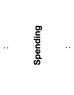# **Spending OOIOE**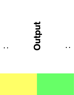## **Output**  ● ● ● ●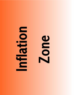# $\mathbf{\Xi}$

### DO Ň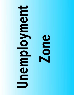### $\frac{1}{2}$  $\mathbf{Q}$  $\bullet$ N E  $\overline{\mathbf{e}}$  $\Box$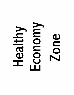### **NODOO UD**<br>OD  $\frac{1}{\overline{\tau}}$  $\blacktriangle$  $\blacksquare$ LŬ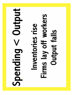# $Spending <$ Output Firms lay off workers Inventories rise **Output falls**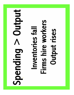## **Nutput** Firms hire workers Inventories fall **Output rises** Spaing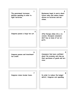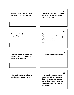**9** 

**Interest rates rise, so businesses cut back on investment.** **Consumers worry that a recession is on the horizon, so they begin saving more.**

**11** 

**Interest rates fall, and firms respond by increasing investment spending.**

**Japan's economy booms and Japanese consumers begin buying more consumption goods, including products made in America.** 

**13** 

**The government increases the payroll tax rate in order to finance social security.**

**The United States goes to war.**

**15** 

**The stock market crashes, and people lose a lot of wealth.** 

**Thanks to low interest rates, people are able to refinance their mortgages and get cash out of their homes. Many people use the cash for home improvements.**

### **10**

**12** 

**14** 

**16**